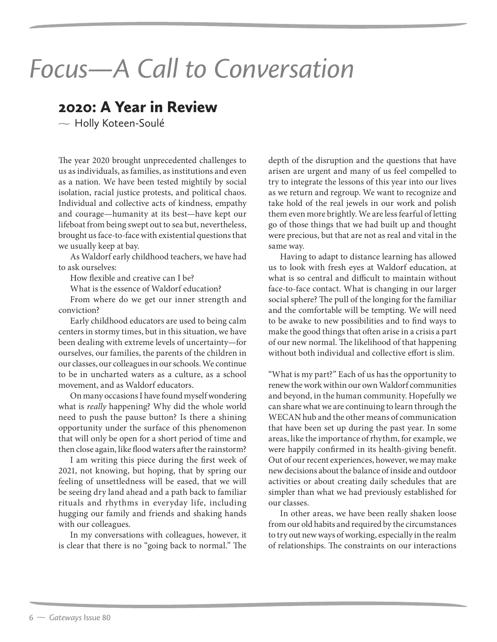## *Focus—A Call to Conversation*

## 2020: A Year in Review

 $\sim$  Holly Koteen-Soulé

The year 2020 brought unprecedented challenges to us as individuals, as families, as institutions and even as a nation. We have been tested mightily by social isolation, racial justice protests, and political chaos. Individual and collective acts of kindness, empathy and courage—humanity at its best—have kept our lifeboat from being swept out to sea but, nevertheless, brought us face-to-face with existential questions that we usually keep at bay.

As Waldorf early childhood teachers, we have had to ask ourselves:

How flexible and creative can I be?

What is the essence of Waldorf education?

From where do we get our inner strength and conviction?

Early childhood educators are used to being calm centers in stormy times, but in this situation, we have been dealing with extreme levels of uncertainty—for ourselves, our families, the parents of the children in our classes, our colleagues in our schools. We continue to be in uncharted waters as a culture, as a school movement, and as Waldorf educators.

On many occasions I have found myself wondering what is *really* happening? Why did the whole world need to push the pause button? Is there a shining opportunity under the surface of this phenomenon that will only be open for a short period of time and then close again, like flood waters after the rainstorm?

I am writing this piece during the first week of 2021, not knowing, but hoping, that by spring our feeling of unsettledness will be eased, that we will be seeing dry land ahead and a path back to familiar rituals and rhythms in everyday life, including hugging our family and friends and shaking hands with our colleagues.

In my conversations with colleagues, however, it is clear that there is no "going back to normal." The

depth of the disruption and the questions that have arisen are urgent and many of us feel compelled to try to integrate the lessons of this year into our lives as we return and regroup. We want to recognize and take hold of the real jewels in our work and polish them even more brightly. We are less fearful of letting go of those things that we had built up and thought were precious, but that are not as real and vital in the same way.

Having to adapt to distance learning has allowed us to look with fresh eyes at Waldorf education, at what is so central and difficult to maintain without face-to-face contact. What is changing in our larger social sphere? The pull of the longing for the familiar and the comfortable will be tempting. We will need to be awake to new possibilities and to find ways to make the good things that often arise in a crisis a part of our new normal. The likelihood of that happening without both individual and collective effort is slim.

"What is my part?" Each of us has the opportunity to renew the work within our own Waldorf communities and beyond, in the human community. Hopefully we can share what we are continuing to learn through the WECAN hub and the other means of communication that have been set up during the past year. In some areas, like the importance of rhythm, for example, we were happily confirmed in its health-giving benefit. Out of our recent experiences, however, we may make new decisions about the balance of inside and outdoor activities or about creating daily schedules that are simpler than what we had previously established for our classes.

In other areas, we have been really shaken loose from our old habits and required by the circumstances to try out new ways of working, especially in the realm of relationships. The constraints on our interactions